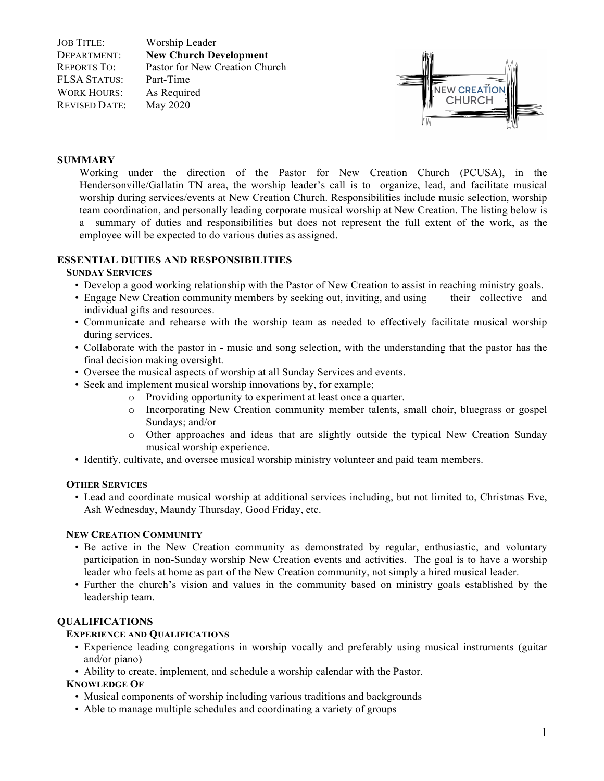JOB TITLE: Worship Leader DEPARTMENT: **New Church Development** REPORTS TO: Pastor for New Creation Church FLSA STATUS: Part-Time WORK HOURS: As Required REVISED DATE: May 2020



## **SUMMARY**

Working under the direction of the Pastor for New Creation Church (PCUSA), in the Hendersonville/Gallatin TN area, the worship leader's call is to organize, lead, and facilitate musical worship during services/events at New Creation Church. Responsibilities include music selection, worship team coordination, and personally leading corporate musical worship at New Creation. The listing below is a summary of duties and responsibilities but does not represent the full extent of the work, as the employee will be expected to do various duties as assigned.

# **ESSENTIAL DUTIES AND RESPONSIBILITIES**

### **SUNDAY SERVICES**

- Develop a good working relationship with the Pastor of New Creation to assist in reaching ministry goals.
- Engage New Creation community members by seeking out, inviting, and using their collective and individual gifts and resources.
- Communicate and rehearse with the worship team as needed to effectively facilitate musical worship during services.
- Collaborate with the pastor in music and song selection, with the understanding that the pastor has the final decision making oversight.
- Oversee the musical aspects of worship at all Sunday Services and events.
- Seek and implement musical worship innovations by, for example;
	- o Providing opportunity to experiment at least once a quarter.
	- o Incorporating New Creation community member talents, small choir, bluegrass or gospel Sundays; and/or
	- o Other approaches and ideas that are slightly outside the typical New Creation Sunday musical worship experience.
- Identify, cultivate, and oversee musical worship ministry volunteer and paid team members.

### **OTHER SERVICES**

• Lead and coordinate musical worship at additional services including, but not limited to, Christmas Eve, Ash Wednesday, Maundy Thursday, Good Friday, etc.

### **NEW CREATION COMMUNITY**

- Be active in the New Creation community as demonstrated by regular, enthusiastic, and voluntary participation in non-Sunday worship New Creation events and activities. The goal is to have a worship leader who feels at home as part of the New Creation community, not simply a hired musical leader.
- Further the church's vision and values in the community based on ministry goals established by the leadership team.

# **QUALIFICATIONS**

# **EXPERIENCE AND QUALIFICATIONS**

- Experience leading congregations in worship vocally and preferably using musical instruments (guitar and/or piano)
- Ability to create, implement, and schedule a worship calendar with the Pastor.

## **KNOWLEDGE OF**

- Musical components of worship including various traditions and backgrounds
- Able to manage multiple schedules and coordinating a variety of groups